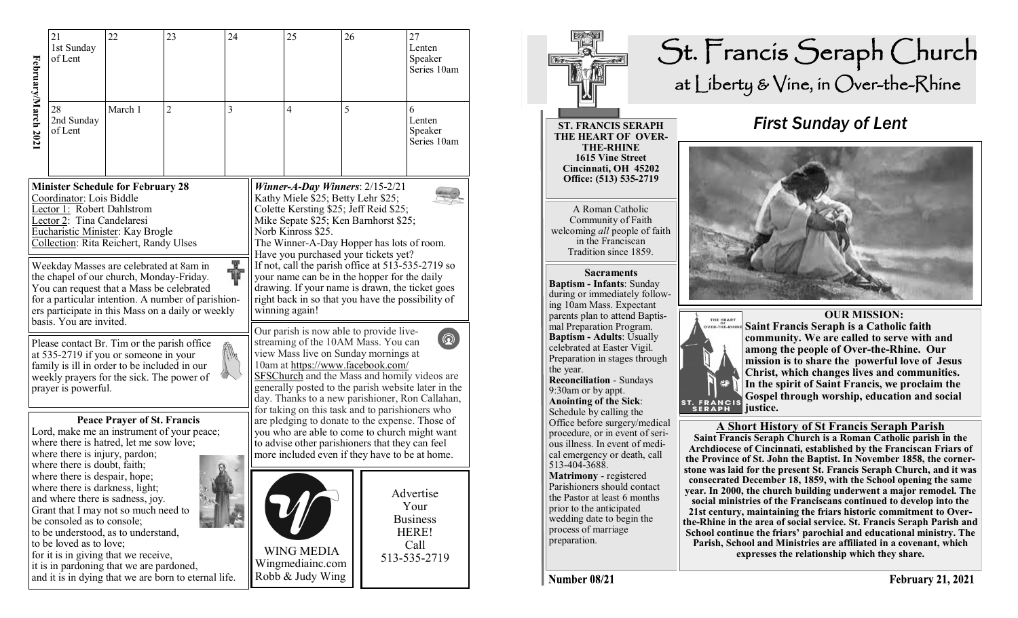|                                                                                                                                                                                                                                                                                                                                                                                                                               | 21<br>1st Sunday<br>of Lent                                                                                                                                                                   | 22                                                                                                                                                                                                  | 23                                                   | 24                                                                                                                                                                                                                                                                                                                                                                                                                                                                                                   |                                                           | 25             | 26 |                                                                       | 27<br>Lenten<br>Speaker<br>Series 10am |
|-------------------------------------------------------------------------------------------------------------------------------------------------------------------------------------------------------------------------------------------------------------------------------------------------------------------------------------------------------------------------------------------------------------------------------|-----------------------------------------------------------------------------------------------------------------------------------------------------------------------------------------------|-----------------------------------------------------------------------------------------------------------------------------------------------------------------------------------------------------|------------------------------------------------------|------------------------------------------------------------------------------------------------------------------------------------------------------------------------------------------------------------------------------------------------------------------------------------------------------------------------------------------------------------------------------------------------------------------------------------------------------------------------------------------------------|-----------------------------------------------------------|----------------|----|-----------------------------------------------------------------------|----------------------------------------|
| February/March 2021                                                                                                                                                                                                                                                                                                                                                                                                           | 28<br>2nd Sunday<br>of Lent                                                                                                                                                                   | March 1                                                                                                                                                                                             | $\overline{2}$                                       | 3                                                                                                                                                                                                                                                                                                                                                                                                                                                                                                    |                                                           | $\overline{4}$ | 5  |                                                                       | 6<br>Lenten<br>Speaker<br>Series 10am  |
| <b>Minister Schedule for February 28</b><br>Coordinator: Lois Biddle<br>Lector 1: Robert Dahlstrom<br>Lector 2: Tina Candelaresi<br>Eucharistic Minister: Kay Brogle<br>Collection: Rita Reichert, Randy Ulses<br>The Second Second<br>Weekday Masses are celebrated at 8am in<br>the chapel of our church, Monday-Friday.<br>You can request that a Mass be celebrated<br>for a particular intention. A number of parishion- |                                                                                                                                                                                               |                                                                                                                                                                                                     |                                                      | Winner-A-Day Winners: $2/15-2/21$<br>Kathy Miele \$25; Betty Lehr \$25;<br>Colette Kersting \$25; Jeff Reid \$25;<br>Mike Sepate \$25; Ken Barnhorst \$25;<br>Norb Kinross \$25.<br>The Winner-A-Day Hopper has lots of room.<br>Have you purchased your tickets yet?<br>If not, call the parish office at 513-535-2719 so<br>your name can be in the hopper for the daily<br>drawing. If your name is drawn, the ticket goes<br>right back in so that you have the possibility of<br>winning again! |                                                           |                |    |                                                                       |                                        |
| ers participate in this Mass on a daily or weekly<br>basis. You are invited.<br>Please contact Br. Tim or the parish office<br>at 535-2719 if you or someone in your<br>family is ill in order to be included in our<br>weekly prayers for the sick. The power of<br>prayer is powerful.                                                                                                                                      |                                                                                                                                                                                               |                                                                                                                                                                                                     |                                                      | Our parish is now able to provide live-<br>$\circledR$<br>streaming of the 10AM Mass. You can<br>view Mass live on Sunday mornings at<br>10am at https://www.facebook.com/<br>SFSChurch and the Mass and homily videos are<br>generally posted to the parish website later in the<br>day. Thanks to a new parishioner, Ron Callahan,                                                                                                                                                                 |                                                           |                |    |                                                                       |                                        |
|                                                                                                                                                                                                                                                                                                                                                                                                                               | <b>Peace Prayer of St. Francis</b><br>Lord, make me an instrument of your peace;<br>where there is hatred, let me sow love;<br>where there is injury, pardon;<br>where there is doubt, faith; |                                                                                                                                                                                                     |                                                      | for taking on this task and to parishioners who<br>are pledging to donate to the expense. Those of<br>you who are able to come to church might want<br>to advise other parishioners that they can feel<br>more included even if they have to be at home.                                                                                                                                                                                                                                             |                                                           |                |    |                                                                       |                                        |
|                                                                                                                                                                                                                                                                                                                                                                                                                               | where there is despair, hope;<br>where there is darkness, light;<br>be consoled as to console;<br>to be loved as to love;                                                                     | and where there is sadness, joy.<br>Grant that I may not so much need to<br>to be understood, as to understand,<br>for it is in giving that we receive,<br>it is in pardoning that we are pardoned, | and it is in dying that we are born to eternal life. |                                                                                                                                                                                                                                                                                                                                                                                                                                                                                                      | <b>WING MEDIA</b><br>Wingmediainc.com<br>Robb & Judy Wing |                |    | Advertise<br>Your<br><b>Business</b><br>HERE!<br>Call<br>513-535-2719 |                                        |



Number 08/21